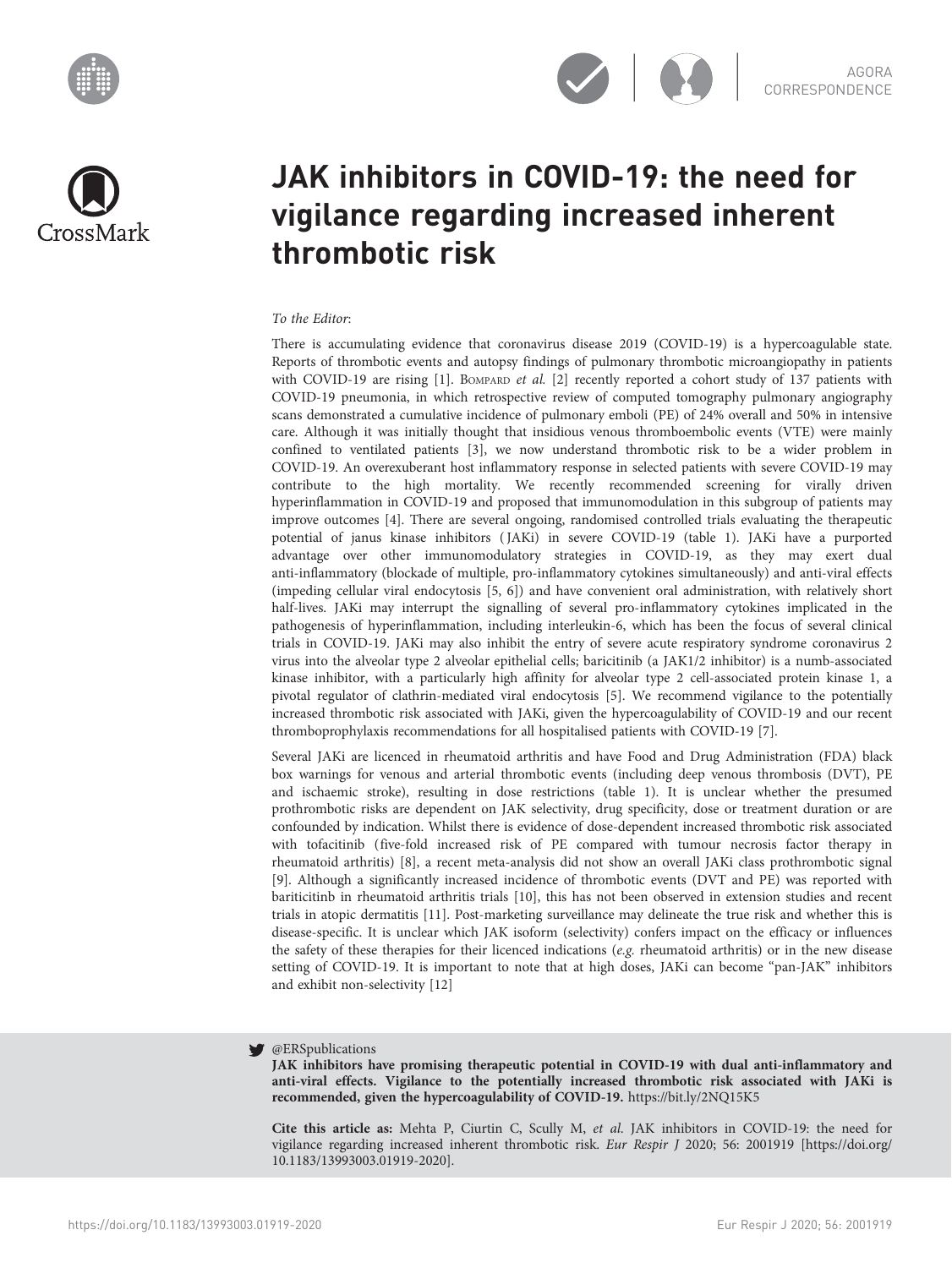





# JAK inhibitors in COVID-19: the need for vigilance regarding increased inherent thrombotic risk

## To the Editor:

There is accumulating evidence that coronavirus disease 2019 (COVID-19) is a hypercoagulable state. Reports of thrombotic events and autopsy findings of pulmonary thrombotic microangiopathy in patients with COVID-19 are rising  $[1]$  $[1]$ . BOMPARD *et al.*  $[2]$  recently reported a cohort study of 137 patients with COVID-19 pneumonia, in which retrospective review of computed tomography pulmonary angiography scans demonstrated a cumulative incidence of pulmonary emboli (PE) of 24% overall and 50% in intensive care. Although it was initially thought that insidious venous thromboembolic events (VTE) were mainly confined to ventilated patients [\[3\]](#page-2-0), we now understand thrombotic risk to be a wider problem in COVID-19. An overexuberant host inflammatory response in selected patients with severe COVID-19 may contribute to the high mortality. We recently recommended screening for virally driven hyperinflammation in COVID-19 and proposed that immunomodulation in this subgroup of patients may improve outcomes [[4](#page-2-0)]. There are several ongoing, randomised controlled trials evaluating the therapeutic potential of janus kinase inhibitors ( JAKi) in severe COVID-19 ([table 1\)](#page-1-0). JAKi have a purported advantage over other immunomodulatory strategies in COVID-19, as they may exert dual anti-inflammatory (blockade of multiple, pro-inflammatory cytokines simultaneously) and anti-viral effects (impeding cellular viral endocytosis [[5, 6\]](#page-2-0)) and have convenient oral administration, with relatively short half-lives. JAKi may interrupt the signalling of several pro-inflammatory cytokines implicated in the pathogenesis of hyperinflammation, including interleukin-6, which has been the focus of several clinical trials in COVID-19. JAKi may also inhibit the entry of severe acute respiratory syndrome coronavirus 2 virus into the alveolar type 2 alveolar epithelial cells; baricitinib (a JAK1/2 inhibitor) is a numb-associated kinase inhibitor, with a particularly high affinity for alveolar type 2 cell-associated protein kinase 1, a pivotal regulator of clathrin-mediated viral endocytosis [[5](#page-2-0)]. We recommend vigilance to the potentially increased thrombotic risk associated with JAKi, given the hypercoagulability of COVID-19 and our recent thromboprophylaxis recommendations for all hospitalised patients with COVID-19 [\[7\]](#page-2-0).

Several JAKi are licenced in rheumatoid arthritis and have Food and Drug Administration (FDA) black box warnings for venous and arterial thrombotic events (including deep venous thrombosis (DVT), PE and ischaemic stroke), resulting in dose restrictions [\(table 1](#page-1-0)). It is unclear whether the presumed prothrombotic risks are dependent on JAK selectivity, drug specificity, dose or treatment duration or are confounded by indication. Whilst there is evidence of dose-dependent increased thrombotic risk associated with tofacitinib (five-fold increased risk of PE compared with tumour necrosis factor therapy in rheumatoid arthritis) [\[8\]](#page-2-0), a recent meta-analysis did not show an overall JAKi class prothrombotic signal [\[9\]](#page-2-0). Although a significantly increased incidence of thrombotic events (DVT and PE) was reported with bariticitinb in rheumatoid arthritis trials [[10](#page-2-0)], this has not been observed in extension studies and recent trials in atopic dermatitis [[11](#page-2-0)]. Post-marketing surveillance may delineate the true risk and whether this is disease-specific. It is unclear which JAK isoform (selectivity) confers impact on the efficacy or influences the safety of these therapies for their licenced indications (e.g. rheumatoid arthritis) or in the new disease setting of COVID-19. It is important to note that at high doses, JAKi can become "pan-JAK" inhibitors and exhibit non-selectivity [[12](#page-2-0)]

#### **W** @ERSpublications

JAK inhibitors have promising therapeutic potential in COVID-19 with dual anti-inflammatory and anti-viral effects. Vigilance to the potentially increased thrombotic risk associated with JAKi is recommended, given the hypercoagulability of COVID-19. <https://bit.ly/2NQ15K5>

Cite this article as: Mehta P, Ciurtin C, Scully M, et al. JAK inhibitors in COVID-19: the need for vigilance regarding increased inherent thrombotic risk. Eur Respir J 2020; 56: 2001919 [\[https://doi.org/](https://doi.org/10.1183/13993003.01919-2020) [10.1183/13993003.01919-2020\].](https://doi.org/10.1183/13993003.01919-2020)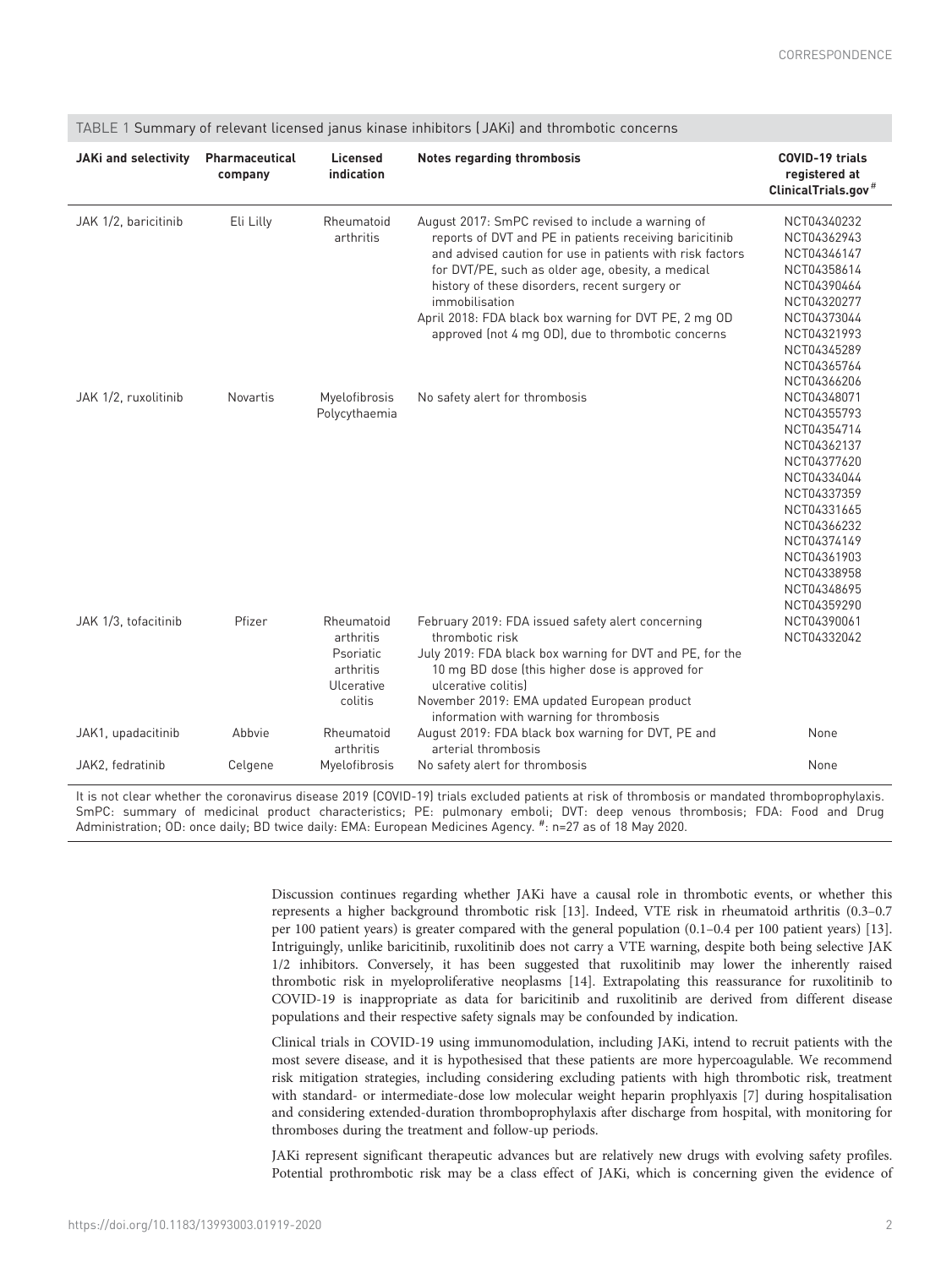| <b>JAKi and selectivity</b> | Pharmaceutical<br>company | Licensed<br>indication                                                     | Notes regarding thrombosis                                                                                                                                                                                                                                                                                                                                                                                       | <b>COVID-19 trials</b><br>registered at<br>ClinicalTrials.gov <sup>#</sup>                                                                                                                                     |
|-----------------------------|---------------------------|----------------------------------------------------------------------------|------------------------------------------------------------------------------------------------------------------------------------------------------------------------------------------------------------------------------------------------------------------------------------------------------------------------------------------------------------------------------------------------------------------|----------------------------------------------------------------------------------------------------------------------------------------------------------------------------------------------------------------|
| JAK 1/2, baricitinib        | Eli Lilly                 | Rheumatoid<br>arthritis                                                    | August 2017: SmPC revised to include a warning of<br>reports of DVT and PE in patients receiving baricitinib<br>and advised caution for use in patients with risk factors<br>for DVT/PE, such as older age, obesity, a medical<br>history of these disorders, recent surgery or<br>immobilisation<br>April 2018: FDA black box warning for DVT PE, 2 mg OD<br>approved (not 4 mg OD), due to thrombotic concerns | NCT04340232<br>NCT04362943<br>NCT04346147<br>NCT04358614<br>NCT04390464<br>NCT04320277<br>NCT04373044<br>NCT04321993<br>NCT04345289<br>NCT04365764<br>NCT04366206                                              |
| JAK 1/2, ruxolitinib        | <b>Novartis</b>           | Myelofibrosis<br>Polycythaemia                                             | No safety alert for thrombosis                                                                                                                                                                                                                                                                                                                                                                                   | NCT04348071<br>NCT04355793<br>NCT04354714<br>NCT04362137<br>NCT04377620<br>NCT04334044<br>NCT04337359<br>NCT04331665<br>NCT04366232<br>NCT04374149<br>NCT04361903<br>NCT04338958<br>NCT04348695<br>NCT04359290 |
| JAK 1/3. tofacitinib        | Pfizer                    | Rheumatoid<br>arthritis<br>Psoriatic<br>arthritis<br>Ulcerative<br>colitis | February 2019: FDA issued safety alert concerning<br>thrombotic risk<br>July 2019: FDA black box warning for DVT and PE, for the<br>10 mg BD dose (this higher dose is approved for<br>ulcerative colitis)<br>November 2019: EMA updated European product<br>information with warning for thrombosis                                                                                                             | NCT04390061<br>NCT04332042                                                                                                                                                                                     |
| JAK1, upadacitinib          | Abbvie                    | Rheumatoid<br>arthritis                                                    | August 2019: FDA black box warning for DVT, PE and<br>arterial thrombosis                                                                                                                                                                                                                                                                                                                                        | None                                                                                                                                                                                                           |
| JAK2, fedratinib            | Celgene                   | Myelofibrosis                                                              | No safety alert for thrombosis                                                                                                                                                                                                                                                                                                                                                                                   | None                                                                                                                                                                                                           |

### <span id="page-1-0"></span>TABLE 1 Summary of relevant licensed janus kinase inhibitors ( JAKi) and thrombotic concerns

It is not clear whether the coronavirus disease 2019 (COVID-19) trials excluded patients at risk of thrombosis or mandated thromboprophylaxis. SmPC: summary of medicinal product characteristics; PE: pulmonary emboli; DVT: deep venous thrombosis; FDA: Food and Drug Administration; OD: once daily; BD twice daily: EMA: European Medicines Agency. # : n=27 as of 18 May 2020.

> Discussion continues regarding whether JAKi have a causal role in thrombotic events, or whether this represents a higher background thrombotic risk [[13\]](#page-2-0). Indeed, VTE risk in rheumatoid arthritis (0.3–0.7 per 100 patient years) is greater compared with the general population (0.1–0.4 per 100 patient years) [[13](#page-2-0)]. Intriguingly, unlike baricitinib, ruxolitinib does not carry a VTE warning, despite both being selective JAK 1/2 inhibitors. Conversely, it has been suggested that ruxolitinib may lower the inherently raised thrombotic risk in myeloproliferative neoplasms [\[14\]](#page-2-0). Extrapolating this reassurance for ruxolitinib to COVID-19 is inappropriate as data for baricitinib and ruxolitinib are derived from different disease populations and their respective safety signals may be confounded by indication.

> Clinical trials in COVID-19 using immunomodulation, including JAKi, intend to recruit patients with the most severe disease, and it is hypothesised that these patients are more hypercoagulable. We recommend risk mitigation strategies, including considering excluding patients with high thrombotic risk, treatment with standard- or intermediate-dose low molecular weight heparin prophlyaxis [[7](#page-2-0)] during hospitalisation and considering extended-duration thromboprophylaxis after discharge from hospital, with monitoring for thromboses during the treatment and follow-up periods.

> JAKi represent significant therapeutic advances but are relatively new drugs with evolving safety profiles. Potential prothrombotic risk may be a class effect of JAKi, which is concerning given the evidence of